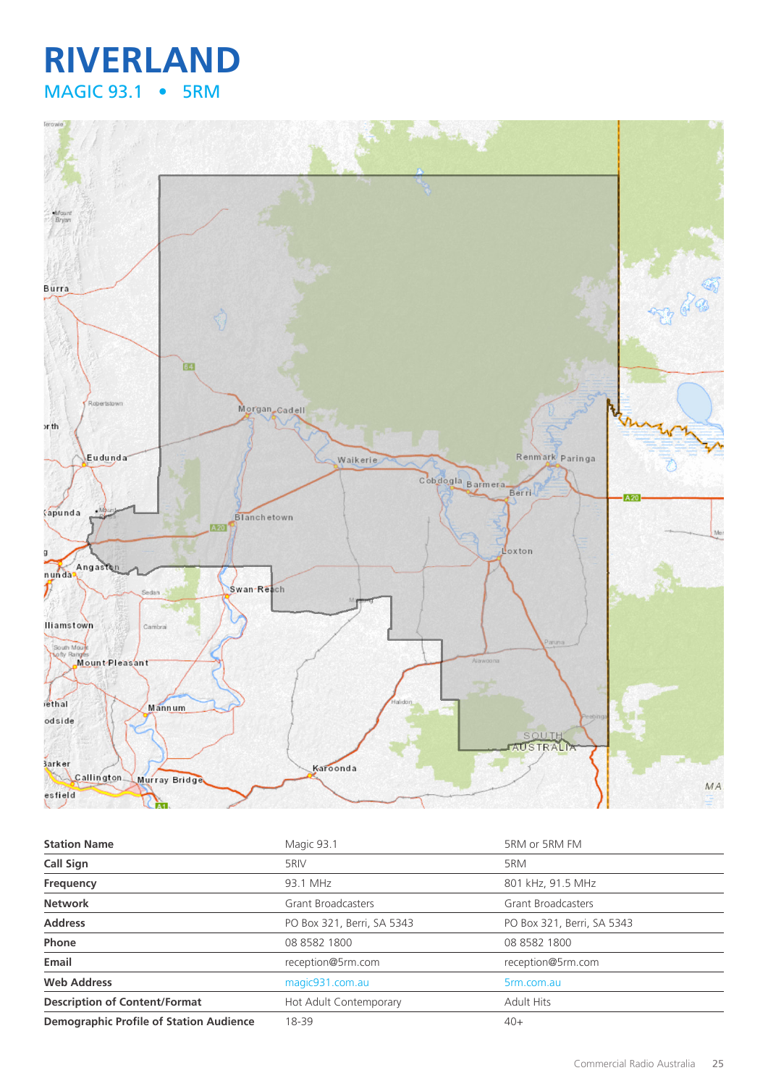# **RIVERLAND** MAGIC 93.1 • 5RM



| <b>Station Name</b>                            | Magic 93.1                 | 5RM or 5RM FM              |
|------------------------------------------------|----------------------------|----------------------------|
| <b>Call Sign</b>                               | 5RIV                       | 5RM                        |
| Frequency                                      | 93.1 MHz                   | 801 kHz, 91.5 MHz          |
| <b>Network</b>                                 | <b>Grant Broadcasters</b>  | <b>Grant Broadcasters</b>  |
| <b>Address</b>                                 | PO Box 321, Berri, SA 5343 | PO Box 321, Berri, SA 5343 |
| Phone                                          | 08 8582 1800               | 08 8582 1800               |
| Email                                          | reception@5rm.com          | reception@5rm.com          |
| <b>Web Address</b>                             | magic931.com.au            | 5rm.com.au                 |
| <b>Description of Content/Format</b>           | Hot Adult Contemporary     | <b>Adult Hits</b>          |
| <b>Demographic Profile of Station Audience</b> | 18-39                      | $40+$                      |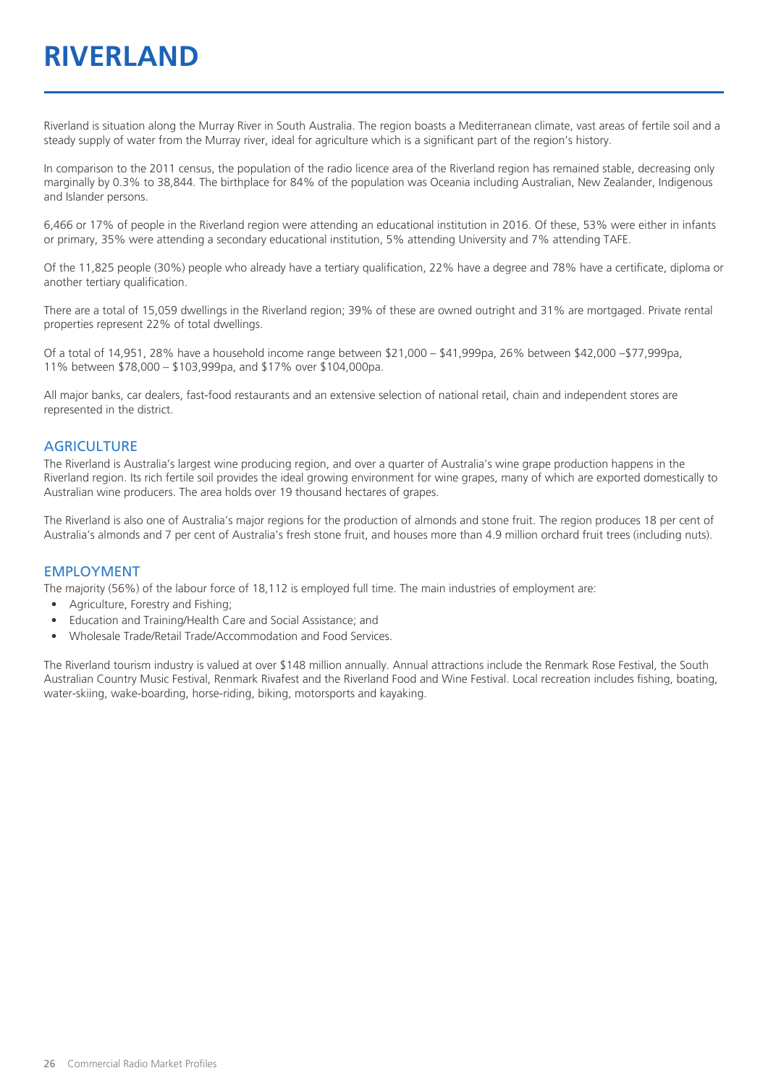# **RIVERLAND**

Riverland is situation along the Murray River in South Australia. The region boasts a Mediterranean climate, vast areas of fertile soil and a steady supply of water from the Murray river, ideal for agriculture which is a significant part of the region's history.

In comparison to the 2011 census, the population of the radio licence area of the Riverland region has remained stable, decreasing only marginally by 0.3% to 38,844. The birthplace for 84% of the population was Oceania including Australian, New Zealander, Indigenous and Islander persons.

6,466 or 17% of people in the Riverland region were attending an educational institution in 2016. Of these, 53% were either in infants or primary, 35% were attending a secondary educational institution, 5% attending University and 7% attending TAFE.

Of the 11,825 people (30%) people who already have a tertiary qualification, 22% have a degree and 78% have a certificate, diploma or another tertiary qualification.

There are a total of 15,059 dwellings in the Riverland region; 39% of these are owned outright and 31% are mortgaged. Private rental properties represent 22% of total dwellings.

Of a total of 14,951, 28% have a household income range between \$21,000 – \$41,999pa, 26% between \$42,000 –\$77,999pa, 11% between \$78,000 – \$103,999pa, and \$17% over \$104,000pa.

All major banks, car dealers, fast-food restaurants and an extensive selection of national retail, chain and independent stores are represented in the district.

#### **AGRICULTURE**

The Riverland is Australia's largest wine producing region, and over a quarter of Australia's wine grape production happens in the Riverland region. Its rich fertile soil provides the ideal growing environment for wine grapes, many of which are exported domestically to Australian wine producers. The area holds over 19 thousand hectares of grapes.

The Riverland is also one of Australia's major regions for the production of almonds and stone fruit. The region produces 18 per cent of Australia's almonds and 7 per cent of Australia's fresh stone fruit, and houses more than 4.9 million orchard fruit trees (including nuts).

#### EMPLOYMENT

The majority (56%) of the labour force of 18,112 is employed full time. The main industries of employment are:

- Agriculture, Forestry and Fishing;
- Education and Training/Health Care and Social Assistance; and
- Wholesale Trade/Retail Trade/Accommodation and Food Services.

The Riverland tourism industry is valued at over \$148 million annually. Annual attractions include the Renmark Rose Festival, the South Australian Country Music Festival, Renmark Rivafest and the Riverland Food and Wine Festival. Local recreation includes fishing, boating, water-skiing, wake-boarding, horse-riding, biking, motorsports and kayaking.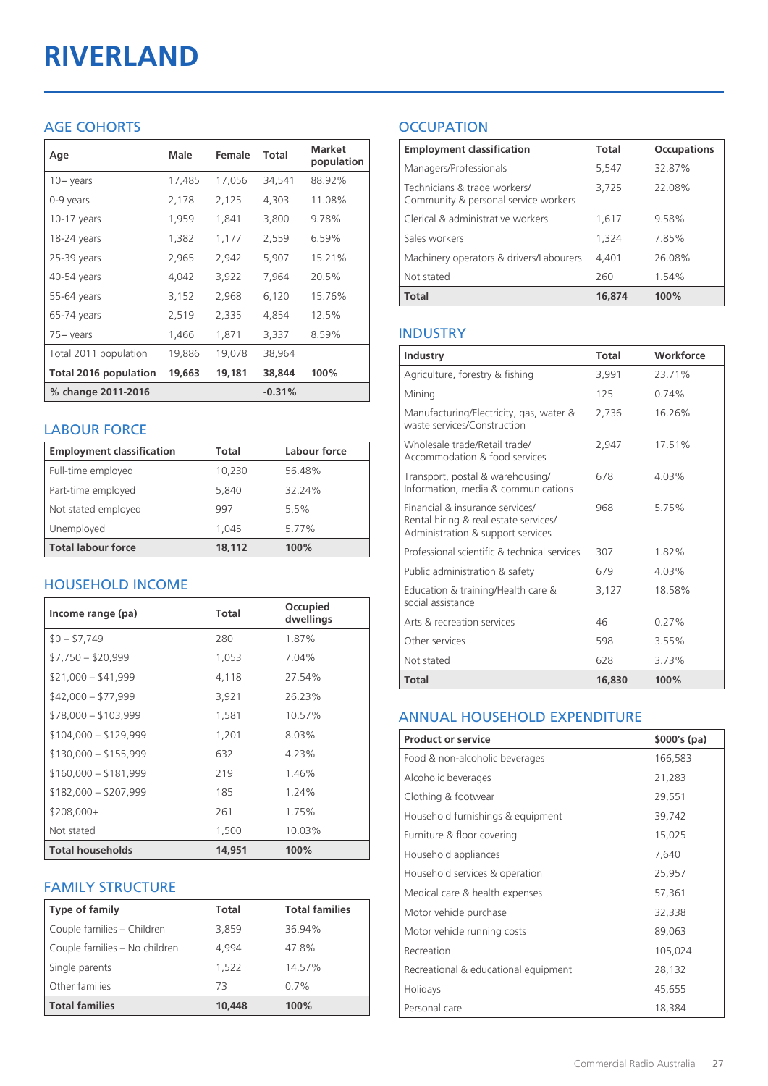# **RIVERLAND**

# AGE COHORTS

| Age                   | Male   | Female | Total    | <b>Market</b><br>population |
|-----------------------|--------|--------|----------|-----------------------------|
| $10 + \gamma$ ears    | 17,485 | 17,056 | 34,541   | 88.92%                      |
| 0-9 years             | 2,178  | 2,125  | 4,303    | 11.08%                      |
| 10-17 years           | 1,959  | 1,841  | 3,800    | 9.78%                       |
| 18-24 years           | 1,382  | 1,177  | 2,559    | 6.59%                       |
| 25-39 years           | 2,965  | 2,942  | 5,907    | 15.21%                      |
| 40-54 years           | 4,042  | 3,922  | 7,964    | 20.5%                       |
| 55-64 years           | 3,152  | 2,968  | 6,120    | 15.76%                      |
| 65-74 years           | 2,519  | 2,335  | 4,854    | 12.5%                       |
| 75+ years             | 1,466  | 1,871  | 3,337    | 8.59%                       |
| Total 2011 population | 19,886 | 19,078 | 38,964   |                             |
| Total 2016 population | 19,663 | 19,181 | 38,844   | 100%                        |
| % change 2011-2016    |        |        | $-0.31%$ |                             |

## LABOUR FORCE

| <b>Employment classification</b> | Total  | Labour force |
|----------------------------------|--------|--------------|
| Full-time employed               | 10,230 | 56.48%       |
| Part-time employed               | 5,840  | 32.24%       |
| Not stated employed              | 997    | 5.5%         |
| Unemployed                       | 1.045  | 5.77%        |
| <b>Total labour force</b>        | 18.112 | 100%         |

# HOUSEHOLD INCOME

| Income range (pa)       | Total  | Occupied<br>dwellings |
|-------------------------|--------|-----------------------|
| $$0 - $7,749$           | 280    | 1.87%                 |
| $$7,750 - $20,999$      | 1,053  | 7.04%                 |
| $$21,000 - $41,999$     | 4,118  | 27.54%                |
| $$42,000 - $77,999$     | 3,921  | 26.23%                |
| $$78,000 - $103,999$    | 1,581  | 10.57%                |
| $$104,000 - $129,999$   | 1,201  | 8.03%                 |
| $$130,000 - $155,999$   | 632    | 4.23%                 |
| $$160,000 - $181,999$   | 219    | 1.46%                 |
| $$182,000 - $207,999$   | 185    | 1.24%                 |
| $$208,000+$             | 261    | 1.75%                 |
| Not stated              | 1,500  | 10.03%                |
| <b>Total households</b> | 14,951 | 100%                  |

# FAMILY STRUCTURE

| <b>Type of family</b>         | Total  | <b>Total families</b> |
|-------------------------------|--------|-----------------------|
| Couple families - Children    | 3,859  | 36.94%                |
| Couple families - No children | 4.994  | 47.8%                 |
| Single parents                | 1.522  | 14.57%                |
| Other families                | 73     | 0.7%                  |
| <b>Total families</b>         | 10,448 | 100%                  |

# **OCCUPATION**

| <b>Employment classification</b>                                     | Total  | <b>Occupations</b> |
|----------------------------------------------------------------------|--------|--------------------|
| Managers/Professionals                                               | 5,547  | 32.87%             |
| Technicians & trade workers/<br>Community & personal service workers | 3,725  | 22.08%             |
| Clerical & administrative workers                                    | 1,617  | 9.58%              |
| Sales workers                                                        | 1,324  | 7.85%              |
| Machinery operators & drivers/Labourers                              | 4.401  | 26.08%             |
| Not stated                                                           | 260    | 1.54%              |
| <b>Total</b>                                                         | 16,874 | 100%               |

## INDUSTRY

| Industry                                                                                                      | Total  | Workforce |
|---------------------------------------------------------------------------------------------------------------|--------|-----------|
| Agriculture, forestry & fishing                                                                               | 3.991  | 23.71%    |
| Mining                                                                                                        | 125    | 0.74%     |
| Manufacturing/Electricity, gas, water &<br>waste services/Construction                                        | 2,736  | 16.26%    |
| Wholesale trade/Retail trade/<br>Accommodation & food services                                                | 2.947  | 17.51%    |
| Transport, postal & warehousing/<br>Information, media & communications                                       | 678    | $4.03\%$  |
| Financial & insurance services/<br>Rental hiring & real estate services/<br>Administration & support services | 968    | 5.75%     |
| Professional scientific & technical services                                                                  | 307    | 1.82%     |
| Public administration & safety                                                                                | 679    | 4.03%     |
| Education & training/Health care &<br>social assistance                                                       | 3,127  | 18.58%    |
| Arts & recreation services                                                                                    | 46     | 0.27%     |
| Other services                                                                                                | 598    | 3.55%     |
| Not stated                                                                                                    | 628    | 3.73%     |
| Total                                                                                                         | 16,830 | 100%      |

#### ANNUAL HOUSEHOLD EXPENDITURE

| <b>Product or service</b>            | $$000's$ (pa) |
|--------------------------------------|---------------|
| Food & non-alcoholic beverages       | 166,583       |
| Alcoholic beverages                  | 21,283        |
| Clothing & footwear                  | 29,551        |
| Household furnishings & equipment    | 39,742        |
| Furniture & floor covering           | 15,025        |
| Household appliances                 | 7,640         |
| Household services & operation       | 25,957        |
| Medical care & health expenses       | 57,361        |
| Motor vehicle purchase               | 32,338        |
| Motor vehicle running costs          | 89,063        |
| Recreation                           | 105,024       |
| Recreational & educational equipment | 28,132        |
| Holidays                             | 45,655        |
| Personal care                        | 18,384        |